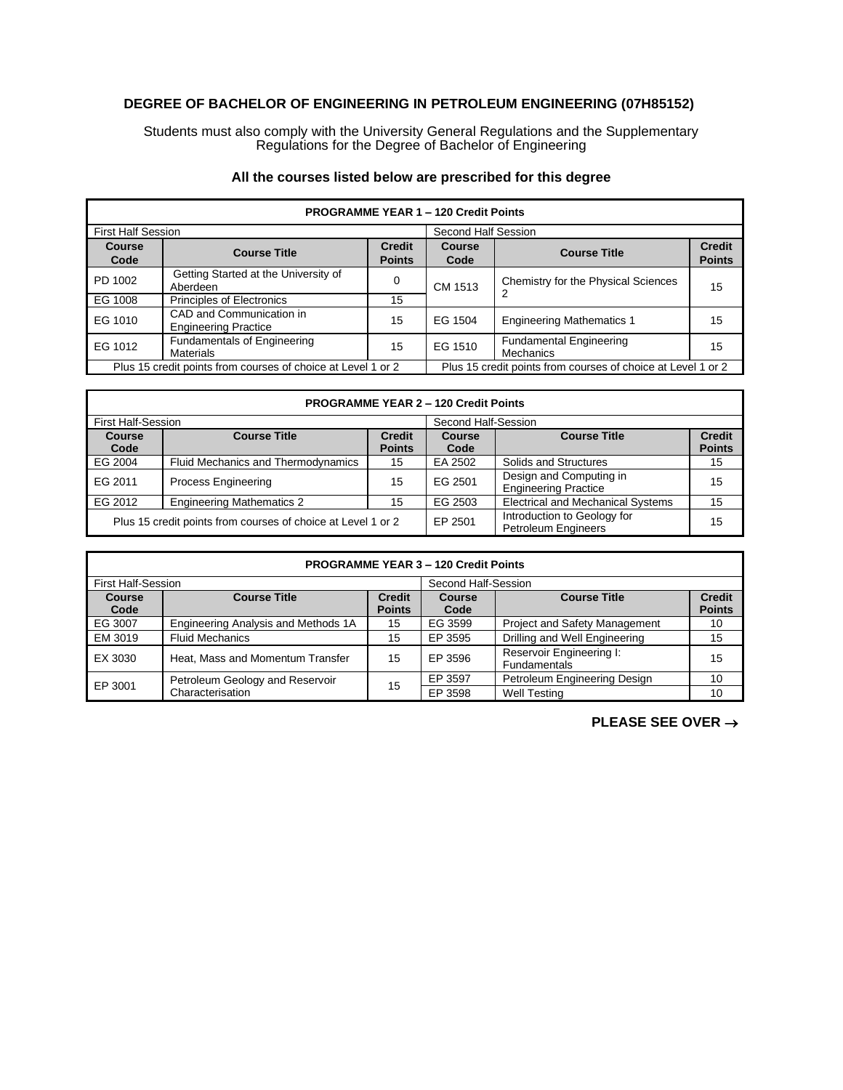## **DEGREE OF BACHELOR OF ENGINEERING IN PETROLEUM ENGINEERING (07H85152)**

Students must also comply with the University General Regulations and the Supplementary Regulations for the Degree of Bachelor of Engineering

## **All the courses listed below are prescribed for this degree**

| <b>PROGRAMME YEAR 1-120 Credit Points</b>                    |                                                         |                                                              |                     |                                                    |                                |  |
|--------------------------------------------------------------|---------------------------------------------------------|--------------------------------------------------------------|---------------------|----------------------------------------------------|--------------------------------|--|
| <b>First Half Session</b>                                    |                                                         |                                                              | Second Half Session |                                                    |                                |  |
| <b>Course</b><br>Code                                        | <b>Course Title</b>                                     | <b>Credit</b><br><b>Points</b>                               | Course<br>Code      | <b>Course Title</b>                                | <b>Credit</b><br><b>Points</b> |  |
| PD 1002                                                      | Getting Started at the University of<br>Aberdeen        | 0                                                            | CM 1513             | Chemistry for the Physical Sciences                | 15                             |  |
| EG 1008                                                      | <b>Principles of Electronics</b>                        | 15                                                           |                     |                                                    |                                |  |
| EG 1010                                                      | CAD and Communication in<br><b>Engineering Practice</b> | 15                                                           | EG 1504             | <b>Engineering Mathematics 1</b>                   | 15                             |  |
| EG 1012                                                      | <b>Fundamentals of Engineering</b><br><b>Materials</b>  | 15                                                           | EG 1510             | <b>Fundamental Engineering</b><br><b>Mechanics</b> | 15                             |  |
| Plus 15 credit points from courses of choice at Level 1 or 2 |                                                         | Plus 15 credit points from courses of choice at Level 1 or 2 |                     |                                                    |                                |  |

| <b>PROGRAMME YEAR 2 - 120 Credit Points</b>                  |                                    |                                |                     |                                                           |                                |  |
|--------------------------------------------------------------|------------------------------------|--------------------------------|---------------------|-----------------------------------------------------------|--------------------------------|--|
| First Half-Session                                           |                                    |                                | Second Half-Session |                                                           |                                |  |
| <b>Course</b><br>Code                                        | <b>Course Title</b>                | <b>Credit</b><br><b>Points</b> | Course<br>Code      | <b>Course Title</b>                                       | <b>Credit</b><br><b>Points</b> |  |
| EG 2004                                                      | Fluid Mechanics and Thermodynamics | 15                             | EA 2502             | Solids and Structures                                     | 15                             |  |
| EG 2011                                                      | <b>Process Engineering</b>         | 15                             | EG 2501             | Design and Computing in<br><b>Engineering Practice</b>    | 15                             |  |
| EG 2012                                                      | <b>Engineering Mathematics 2</b>   | 15                             | EG 2503             | <b>Electrical and Mechanical Systems</b>                  | 15                             |  |
| Plus 15 credit points from courses of choice at Level 1 or 2 |                                    |                                | EP 2501             | Introduction to Geology for<br><b>Petroleum Engineers</b> | 15                             |  |

Г

| <b>PROGRAMME YEAR 3 - 120 Credit Points</b> |                                     |               |                     |                                                 |               |  |
|---------------------------------------------|-------------------------------------|---------------|---------------------|-------------------------------------------------|---------------|--|
| <b>First Half-Session</b>                   |                                     |               | Second Half-Session |                                                 |               |  |
| Course                                      | <b>Course Title</b>                 | <b>Credit</b> | Course              | <b>Course Title</b>                             | <b>Credit</b> |  |
| Code                                        |                                     | <b>Points</b> | Code                |                                                 | <b>Points</b> |  |
| EG 3007                                     | Engineering Analysis and Methods 1A | 15            | EG 3599             | Project and Safety Management                   | 10            |  |
| EM 3019                                     | <b>Fluid Mechanics</b>              | 15            | EP 3595             | Drilling and Well Engineering                   | 15            |  |
| EX 3030                                     | Heat, Mass and Momentum Transfer    | 15            | EP 3596             | Reservoir Engineering I:<br><b>Fundamentals</b> | 15            |  |
| EP 3001                                     | Petroleum Geology and Reservoir     | 15            | EP 3597             | Petroleum Engineering Design                    | 10            |  |
|                                             | Characterisation                    |               | EP 3598             | <b>Well Testing</b>                             | 10            |  |

**PLEASE SEE OVER** →